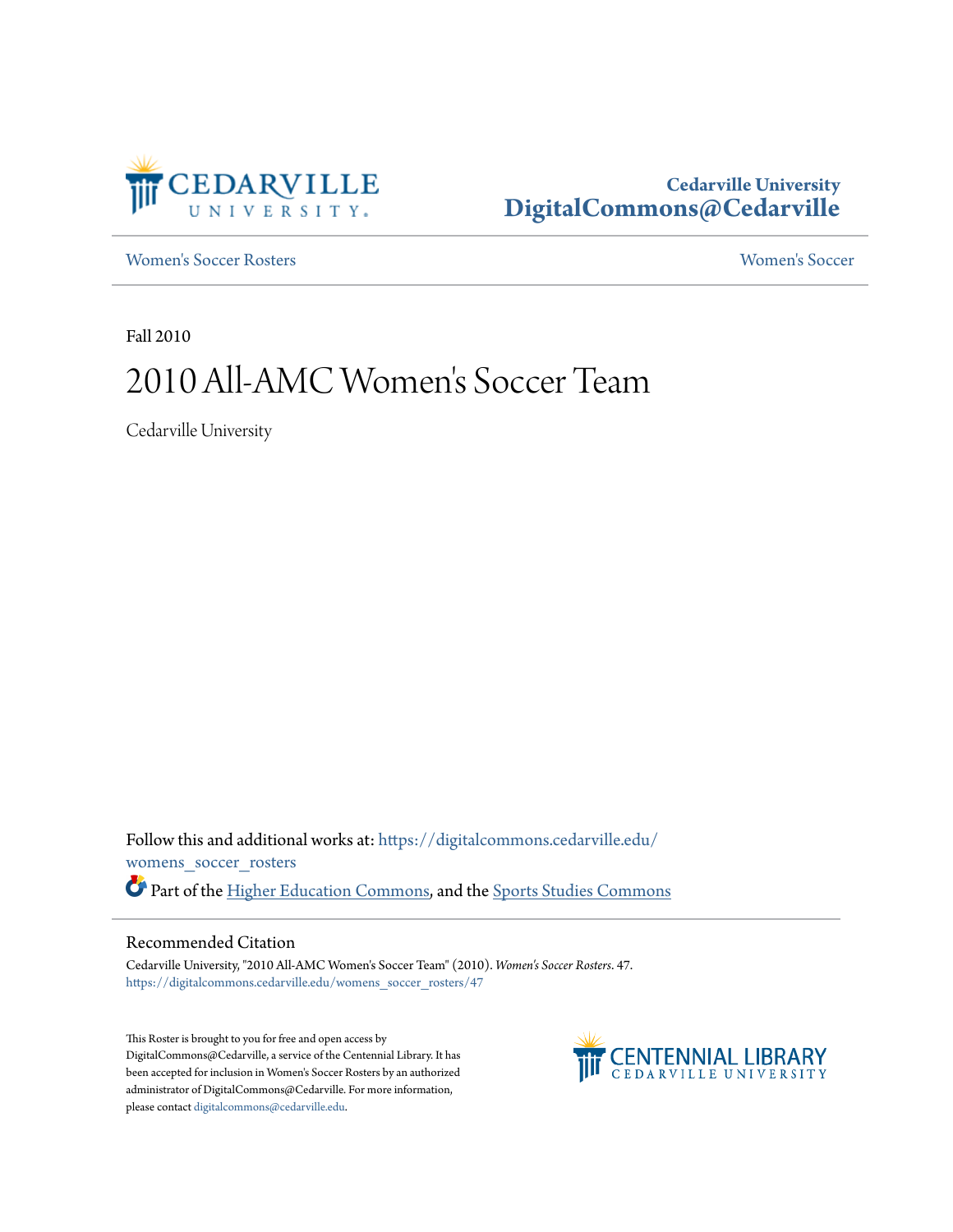

## **Cedarville University [DigitalCommons@Cedarville](https://digitalcommons.cedarville.edu?utm_source=digitalcommons.cedarville.edu%2Fwomens_soccer_rosters%2F47&utm_medium=PDF&utm_campaign=PDFCoverPages)**

[Women's Soccer Rosters](https://digitalcommons.cedarville.edu/womens_soccer_rosters?utm_source=digitalcommons.cedarville.edu%2Fwomens_soccer_rosters%2F47&utm_medium=PDF&utm_campaign=PDFCoverPages) [Women's Soccer](https://digitalcommons.cedarville.edu/womens_soccer?utm_source=digitalcommons.cedarville.edu%2Fwomens_soccer_rosters%2F47&utm_medium=PDF&utm_campaign=PDFCoverPages)

Fall 2010

## 2010 All-AMC Women 's Soccer Team

Cedarville University

Follow this and additional works at: [https://digitalcommons.cedarville.edu/](https://digitalcommons.cedarville.edu/womens_soccer_rosters?utm_source=digitalcommons.cedarville.edu%2Fwomens_soccer_rosters%2F47&utm_medium=PDF&utm_campaign=PDFCoverPages) [womens\\_soccer\\_rosters](https://digitalcommons.cedarville.edu/womens_soccer_rosters?utm_source=digitalcommons.cedarville.edu%2Fwomens_soccer_rosters%2F47&utm_medium=PDF&utm_campaign=PDFCoverPages) Part of the [Higher Education Commons](http://network.bepress.com/hgg/discipline/1245?utm_source=digitalcommons.cedarville.edu%2Fwomens_soccer_rosters%2F47&utm_medium=PDF&utm_campaign=PDFCoverPages), and the [Sports Studies Commons](http://network.bepress.com/hgg/discipline/1198?utm_source=digitalcommons.cedarville.edu%2Fwomens_soccer_rosters%2F47&utm_medium=PDF&utm_campaign=PDFCoverPages)

## Recommended Citation

Cedarville University, "2010 All-AMC Women's Soccer Team" (2010). *Women's Soccer Rosters*. 47. [https://digitalcommons.cedarville.edu/womens\\_soccer\\_rosters/47](https://digitalcommons.cedarville.edu/womens_soccer_rosters/47?utm_source=digitalcommons.cedarville.edu%2Fwomens_soccer_rosters%2F47&utm_medium=PDF&utm_campaign=PDFCoverPages)

This Roster is brought to you for free and open access by DigitalCommons@Cedarville, a service of the Centennial Library. It has been accepted for inclusion in Women's Soccer Rosters by an authorized administrator of DigitalCommons@Cedarville. For more information, please contact [digitalcommons@cedarville.edu.](mailto:digitalcommons@cedarville.edu)